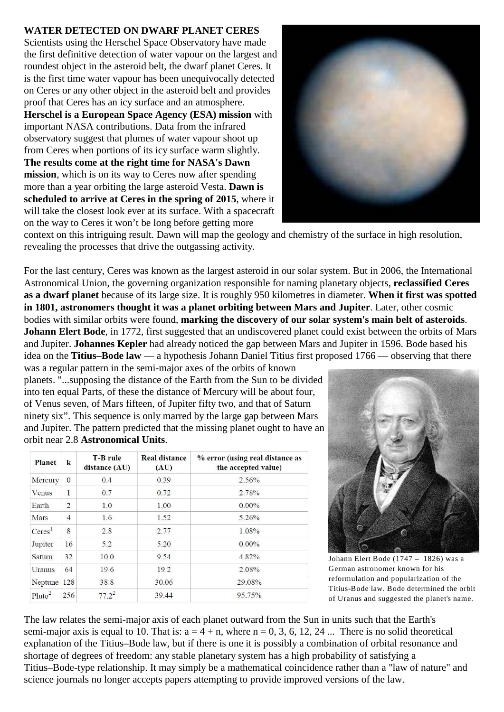## **WATER DETECTED ON DWARF PLANET CERES**

Scientists using the Herschel Space Observatory have made the first definitive detection of water vapour on the largest and roundest object in the asteroid belt, the dwarf planet Ceres. It is the first time water vapour has been unequivocally detected on Ceres or any other object in the asteroid belt and provides proof that Ceres has an icy surface and an atmosphere. **Herschel is a European Space Agency (ESA) mission** with important NASA contributions. Data from the infrared observatory suggest that plumes of water vapour shoot up from Ceres when portions of its icy surface warm slightly. **The results come at the right time for NASA's Dawn mission**, which is on its way to Ceres now after spending more than a year orbiting the large asteroid Vesta. **Dawn is scheduled to arrive at Ceres in the spring of 2015**, where it will take the closest look ever at its surface. With a spacecraft on the way to Ceres it won't be long before getting more



context on this intriguing result. Dawn will map the geology and chemistry of the surface in high resolution, revealing the processes that drive the outgassing activity.

For the last century, Ceres was known as the largest asteroid in our solar system. But in 2006, the International Astronomical Union, the governing organization responsible for naming planetary objects, **reclassified Ceres as a dwarf planet** because of its large size. It is roughly 950 kilometres in diameter. **When it first was spotted in 1801, astronomers thought it was a planet orbiting between Mars and Jupiter**. Later, other cosmic bodies with similar orbits were found, **marking the discovery of our solar system's main belt of asteroids**. **Johann Elert Bode**, in 1772, first suggested that an undiscovered planet could exist between the orbits of Mars and Jupiter. **Johannes Kepler** had already noticed the gap between Mars and Jupiter in 1596. Bode based his idea on the **Titius–Bode law** — a hypothesis Johann Daniel Titius first proposed 1766 — observing that there

was a regular pattern in the semi-major axes of the orbits of known planets. "...supposing the distance of the Earth from the Sun to be divided into ten equal Parts, of these the distance of Mercury will be about four, of Venus seven, of Mars fifteen, of Jupiter fifty two, and that of Saturn ninety six". This sequence is only marred by the large gap between Mars and Jupiter. The pattern predicted that the missing planet ought to have an orbit near 2.8 **Astronomical Units**.

| <b>Planet</b>      | $\bf k$        | <b>T-B</b> rule<br>distance (AU) | <b>Real distance</b><br>(AU) | % error (using real distance as<br>the accepted value) |
|--------------------|----------------|----------------------------------|------------------------------|--------------------------------------------------------|
| Mercury            | $\Omega$       | 0.4                              | 0.39                         | 2.56%                                                  |
| Venus              | 1              | 0.7                              | 0.72                         | 2.78%                                                  |
| Earth              | $\overline{2}$ | 1.0                              | 1.00                         | $0.00\%$                                               |
| Mars               | $\overline{4}$ | 1.6                              | 1.52                         | $5.26\%$                                               |
| Ceres <sup>1</sup> | 8              | 2.8                              | 2.77                         | 1.08%                                                  |
| Jupiter            | 16             | 5.2                              | 5.20                         | $0.00\%$                                               |
| Saturn             | 32             | 10.0                             | 9.54                         | 4.82%                                                  |
| Uranus             | 64             | 19.6                             | 19.2                         | 2.08%                                                  |
| Neptune            | 128            | 38.8                             | 30.06                        | 29.08%                                                 |
| Pluto <sup>2</sup> | 256            | $77.2^2$                         | 39.44                        | 95.75%                                                 |



Johann Elert Bode (1747 – 1826) was a German astronomer known for his reformulation and popularization of the Titius-Bode law. Bode determined the orbit of Uranus and suggested the planet's name.

The law relates the semi-major axis of each planet outward from the Sun in units such that the Earth's semi-major axis is equal to 10. That is:  $a = 4 + n$ , where  $n = 0, 3, 6, 12, 24$  ... There is no solid theoretical explanation of the Titius–Bode law, but if there is one it is possibly a combination of orbital resonance and shortage of degrees of freedom: any stable planetary system has a high probability of satisfying a Titius–Bode-type relationship. It may simply be a mathematical coincidence rather than a "law of nature" and science journals no longer accepts papers attempting to provide improved versions of the law.